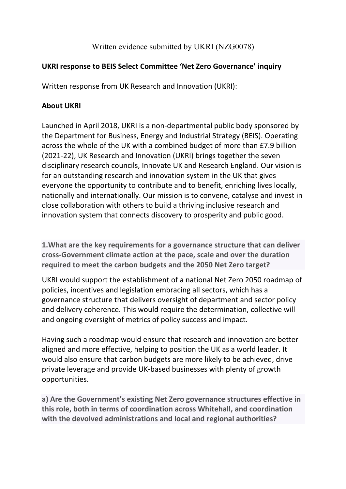Written evidence submitted by UKRI (NZG0078)

## **UKRI response to BEIS Select Committee 'Net Zero Governance' inquiry**

Written response from UK Research and Innovation (UKRI):

## **About UKRI**

Launched in April 2018, UKRI is a non-departmental public body sponsored by the Department for Business, Energy and Industrial Strategy (BEIS). Operating across the whole of the UK with a combined budget of more than £7.9 billion (2021-22), UK Research and Innovation (UKRI) brings together the seven disciplinary research councils, Innovate UK and Research England. Our vision is for an outstanding research and innovation system in the UK that gives everyone the opportunity to contribute and to benefit, enriching lives locally, nationally and internationally. Our mission is to convene, catalyse and invest in close collaboration with others to build a thriving inclusive research and innovation system that connects discovery to prosperity and public good.

**1.What are the key requirements for a governance structure that can deliver cross-Government climate action at the pace, scale and over the duration required to meet the carbon budgets and the 2050 Net Zero target?**

UKRI would support the establishment of a national Net Zero 2050 roadmap of policies, incentives and legislation embracing all sectors, which has a governance structure that delivers oversight of department and sector policy and delivery coherence. This would require the determination, collective will and ongoing oversight of metrics of policy success and impact.

Having such a roadmap would ensure that research and innovation are better aligned and more effective, helping to position the UK as a world leader. It would also ensure that carbon budgets are more likely to be achieved, drive private leverage and provide UK-based businesses with plenty of growth opportunities.

**a) Are the Government's existing Net Zero governance structures effective in this role, both in terms of coordination across Whitehall, and coordination with the devolved administrations and local and regional authorities?**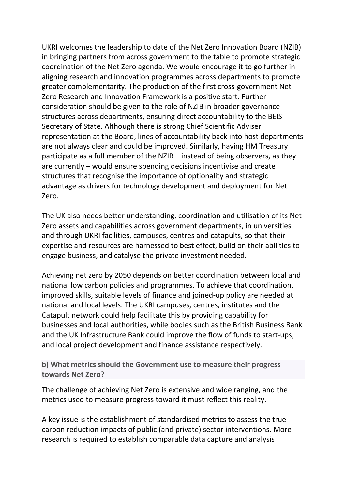UKRI welcomes the leadership to date of the Net Zero Innovation Board (NZIB) in bringing partners from across government to the table to promote strategic coordination of the Net Zero agenda. We would encourage it to go further in aligning research and innovation programmes across departments to promote greater complementarity. The production of the first cross-government Net Zero Research and Innovation Framework is a positive start. Further consideration should be given to the role of NZIB in broader governance structures across departments, ensuring direct accountability to the BEIS Secretary of State. Although there is strong Chief Scientific Adviser representation at the Board, lines of accountability back into host departments are not always clear and could be improved. Similarly, having HM Treasury participate as a full member of the NZIB – instead of being observers, as they are currently – would ensure spending decisions incentivise and create structures that recognise the importance of optionality and strategic advantage as drivers for technology development and deployment for Net Zero.

The UK also needs better understanding, coordination and utilisation of its Net Zero assets and capabilities across government departments, in universities and through UKRI facilities, campuses, centres and catapults, so that their expertise and resources are harnessed to best effect, build on their abilities to engage business, and catalyse the private investment needed.

Achieving net zero by 2050 depends on better coordination between local and national low carbon policies and programmes. To achieve that coordination, improved skills, suitable levels of finance and joined-up policy are needed at national and local levels. The UKRI campuses, centres, institutes and the Catapult network could help facilitate this by providing capability for businesses and local authorities, while bodies such as the British Business Bank and the UK Infrastructure Bank could improve the flow of funds to start-ups, and local project development and finance assistance respectively.

**b) What metrics should the Government use to measure their progress towards Net Zero?**

The challenge of achieving Net Zero is extensive and wide ranging, and the metrics used to measure progress toward it must reflect this reality.

A key issue is the establishment of standardised metrics to assess the true carbon reduction impacts of public (and private) sector interventions. More research is required to establish comparable data capture and analysis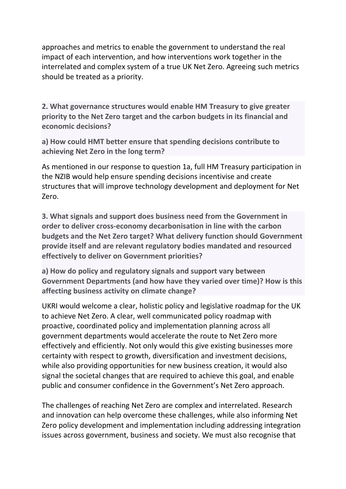approaches and metrics to enable the government to understand the real impact of each intervention, and how interventions work together in the interrelated and complex system of a true UK Net Zero. Agreeing such metrics should be treated as a priority.

**2. What governance structures would enable HM Treasury to give greater priority to the Net Zero target and the carbon budgets in its financial and economic decisions?**

**a) How could HMT better ensure that spending decisions contribute to achieving Net Zero in the long term?**

As mentioned in our response to question 1a, full HM Treasury participation in the NZIB would help ensure spending decisions incentivise and create structures that will improve technology development and deployment for Net Zero.

**3. What signals and support does business need from the Government in order to deliver cross-economy decarbonisation in line with the carbon budgets and the Net Zero target? What delivery function should Government provide itself and are relevant regulatory bodies mandated and resourced effectively to deliver on Government priorities?**

**a) How do policy and regulatory signals and support vary between Government Departments (and how have they varied over time)? How is this affecting business activity on climate change?**

UKRI would welcome a clear, holistic policy and legislative roadmap for the UK to achieve Net Zero. A clear, well communicated policy roadmap with proactive, coordinated policy and implementation planning across all government departments would accelerate the route to Net Zero more effectively and efficiently. Not only would this give existing businesses more certainty with respect to growth, diversification and investment decisions, while also providing opportunities for new business creation, it would also signal the societal changes that are required to achieve this goal, and enable public and consumer confidence in the Government's Net Zero approach.

The challenges of reaching Net Zero are complex and interrelated. Research and innovation can help overcome these challenges, while also informing Net Zero policy development and implementation including addressing integration issues across government, business and society. We must also recognise that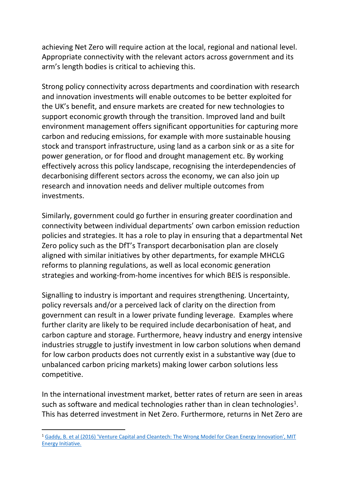achieving Net Zero will require action at the local, regional and national level. Appropriate connectivity with the relevant actors across government and its arm's length bodies is critical to achieving this.

Strong policy connectivity across departments and coordination with research and innovation investments will enable outcomes to be better exploited for the UK's benefit, and ensure markets are created for new technologies to support economic growth through the transition. Improved land and built environment management offers significant opportunities for capturing more carbon and reducing emissions, for example with more sustainable housing stock and transport infrastructure, using land as a carbon sink or as a site for power generation, or for flood and drought management etc. By working effectively across this policy landscape, recognising the interdependencies of decarbonising different sectors across the economy, we can also join up research and innovation needs and deliver multiple outcomes from investments.

Similarly, government could go further in ensuring greater coordination and connectivity between individual departments' own carbon emission reduction policies and strategies. It has a role to play in ensuring that a departmental Net Zero policy such as the DfT's Transport decarbonisation plan are closely aligned with similar initiatives by other departments, for example MHCLG reforms to planning regulations, as well as local economic generation strategies and working-from-home incentives for which BEIS is responsible.

Signalling to industry is important and requires strengthening. Uncertainty, policy reversals and/or a perceived lack of clarity on the direction from government can result in a lower private funding leverage. Examples where further clarity are likely to be required include decarbonisation of heat, and carbon capture and storage. Furthermore, heavy industry and energy intensive industries struggle to justify investment in low carbon solutions when demand for low carbon products does not currently exist in a substantive way (due to unbalanced carbon pricing markets) making lower carbon solutions less competitive.

In the international investment market, better rates of return are seen in areas such as software and medical technologies rather than in clean technologies<sup>1</sup>. This has deterred investment in Net Zero. Furthermore, returns in Net Zero are

<sup>1</sup> [Gaddy,](https://energy.mit.edu/wp-content/uploads/2016/07/MITEI-WP-2016-06.pdf) [B.](https://energy.mit.edu/wp-content/uploads/2016/07/MITEI-WP-2016-06.pdf) [et](https://energy.mit.edu/wp-content/uploads/2016/07/MITEI-WP-2016-06.pdf) [al](https://energy.mit.edu/wp-content/uploads/2016/07/MITEI-WP-2016-06.pdf) [\(2016\)](https://energy.mit.edu/wp-content/uploads/2016/07/MITEI-WP-2016-06.pdf) ['Venture](https://energy.mit.edu/wp-content/uploads/2016/07/MITEI-WP-2016-06.pdf) [Capital](https://energy.mit.edu/wp-content/uploads/2016/07/MITEI-WP-2016-06.pdf) [and](https://energy.mit.edu/wp-content/uploads/2016/07/MITEI-WP-2016-06.pdf) [Cleantech:](https://energy.mit.edu/wp-content/uploads/2016/07/MITEI-WP-2016-06.pdf) [The](https://energy.mit.edu/wp-content/uploads/2016/07/MITEI-WP-2016-06.pdf) [Wrong](https://energy.mit.edu/wp-content/uploads/2016/07/MITEI-WP-2016-06.pdf) [Model](https://energy.mit.edu/wp-content/uploads/2016/07/MITEI-WP-2016-06.pdf) [for](https://energy.mit.edu/wp-content/uploads/2016/07/MITEI-WP-2016-06.pdf) [Clean](https://energy.mit.edu/wp-content/uploads/2016/07/MITEI-WP-2016-06.pdf) [Energy](https://energy.mit.edu/wp-content/uploads/2016/07/MITEI-WP-2016-06.pdf) [Innovation',](https://energy.mit.edu/wp-content/uploads/2016/07/MITEI-WP-2016-06.pdf) [MIT](https://energy.mit.edu/wp-content/uploads/2016/07/MITEI-WP-2016-06.pdf) [Energy](https://energy.mit.edu/wp-content/uploads/2016/07/MITEI-WP-2016-06.pdf) [Initiative.](https://energy.mit.edu/wp-content/uploads/2016/07/MITEI-WP-2016-06.pdf)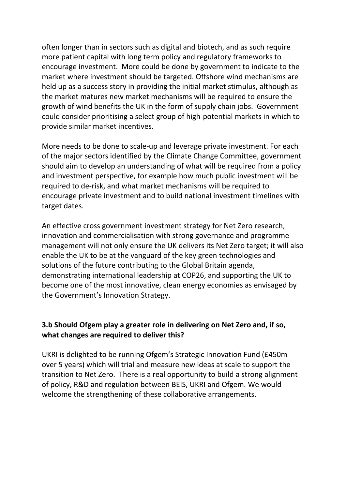often longer than in sectors such as digital and biotech, and as such require more patient capital with long term policy and regulatory frameworks to encourage investment. More could be done by government to indicate to the market where investment should be targeted. Offshore wind mechanisms are held up as a success story in providing the initial market stimulus, although as the market matures new market mechanisms will be required to ensure the growth of wind benefits the UK in the form of supply chain jobs. Government could consider prioritising a select group of high-potential markets in which to provide similar market incentives.

More needs to be done to scale-up and leverage private investment. For each of the major sectors identified by the Climate Change Committee, government should aim to develop an understanding of what will be required from a policy and investment perspective, for example how much public investment will be required to de-risk, and what market mechanisms will be required to encourage private investment and to build national investment timelines with target dates.

An effective cross government investment strategy for Net Zero research, innovation and commercialisation with strong governance and programme management will not only ensure the UK delivers its Net Zero target; it will also enable the UK to be at the vanguard of the key green technologies and solutions of the future contributing to the Global Britain agenda, demonstrating international leadership at COP26, and supporting the UK to become one of the most innovative, clean energy economies as envisaged by the Government's Innovation Strategy.

## **3.b Should Ofgem play a greater role in delivering on Net Zero and, if so, what changes are required to deliver this?**

UKRI is delighted to be running Ofgem's Strategic Innovation Fund (£450m over 5 years) which will trial and measure new ideas at scale to support the transition to Net Zero. There is a real opportunity to build a strong alignment of policy, R&D and regulation between BEIS, UKRI and Ofgem. We would welcome the strengthening of these collaborative arrangements.